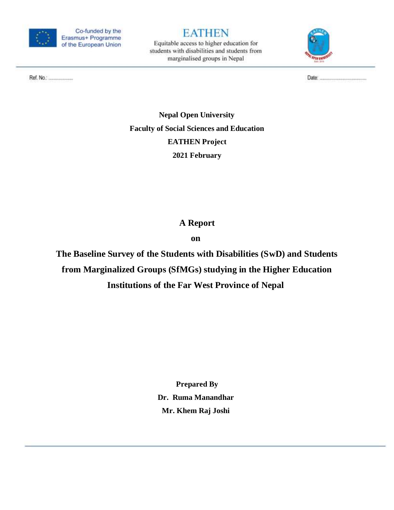

## **EATHEN**

Equitable access to higher education for students with disabilities and students from marginalised groups in Nepal



Ref. No.: ........................

**Nepal Open University Faculty of Social Sciences and Education EATHEN Project 2021 February**

## **A Report**

**on**

**The Baseline Survey of the Students with Disabilities (SwD) and Students from Marginalized Groups (SfMGs) studying in the Higher Education Institutions of the Far West Province of Nepal**

> **Prepared By Dr. Ruma Manandhar Mr. Khem Raj Joshi**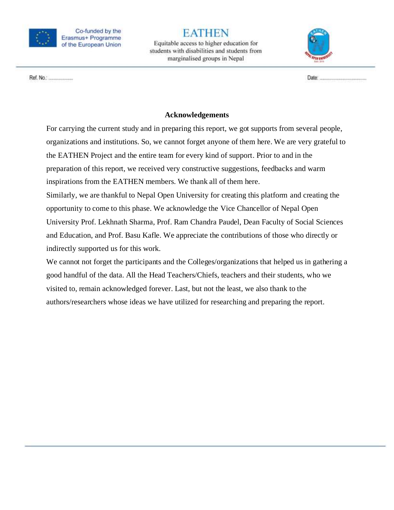

Equitable access to higher education for students with disabilities and students from marginalised groups in Nepal



Ref. No.: ......................

#### **Acknowledgements**

For carrying the current study and in preparing this report, we got supports from several people, organizations and institutions. So, we cannot forget anyone of them here. We are very grateful to the EATHEN Project and the entire team for every kind of support. Prior to and in the preparation of this report, we received very constructive suggestions, feedbacks and warm inspirations from the EATHEN members. We thank all of them here. Similarly, we are thankful to Nepal Open University for creating this platform and creating the opportunity to come to this phase. We acknowledge the Vice Chancellor of Nepal Open University Prof. Lekhnath Sharma, Prof. Ram Chandra Paudel, Dean Faculty of Social Sciences and Education, and Prof. Basu Kafle. We appreciate the contributions of those who directly or indirectly supported us for this work.

We cannot not forget the participants and the Colleges/organizations that helped us in gathering a good handful of the data. All the Head Teachers/Chiefs, teachers and their students, who we visited to, remain acknowledged forever. Last, but not the least, we also thank to the authors/researchers whose ideas we have utilized for researching and preparing the report.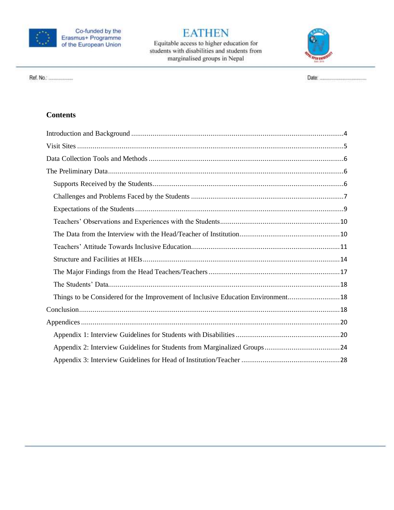

Equitable access to higher education for<br>students with disabilities and students from marginalised groups in Nepal



**Contents** 

Ref. No.: ....................

| Things to be Considered for the Improvement of Inclusive Education Environment18 |  |
|----------------------------------------------------------------------------------|--|
|                                                                                  |  |
|                                                                                  |  |
|                                                                                  |  |
|                                                                                  |  |
|                                                                                  |  |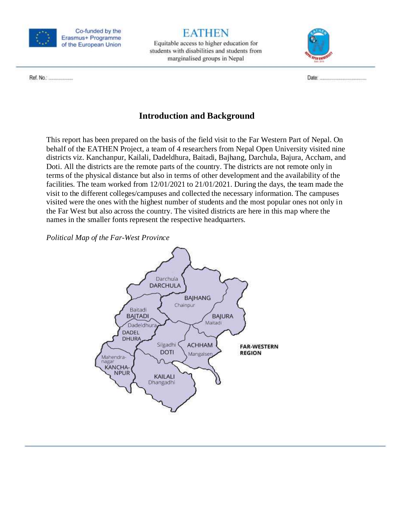

## **EATHEN**

Equitable access to higher education for students with disabilities and students from marginalised groups in Nepal



Ref. No.: .....................

## **Introduction and Background**

<span id="page-3-0"></span>This report has been prepared on the basis of the field visit to the Far Western Part of Nepal. On behalf of the EATHEN Project, a team of 4 researchers from Nepal Open University visited nine districts viz. Kanchanpur, Kailali, Dadeldhura, Baitadi, Bajhang, Darchula, Bajura, Accham, and Doti. All the districts are the remote parts of the country. The districts are not remote only in terms of the physical distance but also in terms of other development and the availability of the facilities. The team worked from 12/01/2021 to 21/01/2021. During the days, the team made the visit to the different colleges/campuses and collected the necessary information. The campuses visited were the ones with the highest number of students and the most popular ones not only in the Far West but also across the country. The visited districts are here in this map where the names in the smaller fonts represent the respective headquarters.

*Political Map of the Far-West Province*

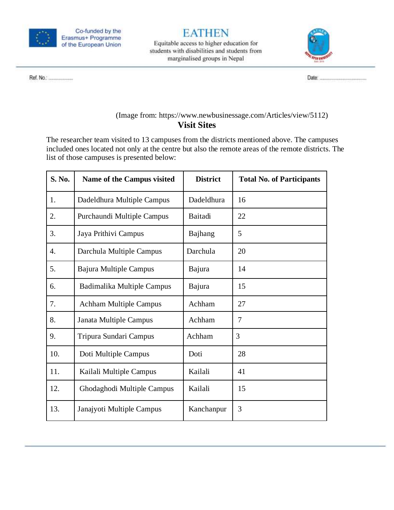

Equitable access to higher education for students with disabilities and students from marginalised groups in Nepal



Ref. No.: .....................

#### (Image from: https://www.newbusinessage.com/Articles/view/5112) **Visit Sites**

<span id="page-4-0"></span>The researcher team visited to 13 campuses from the districts mentioned above. The campuses included ones located not only at the centre but also the remote areas of the remote districts. The list of those campuses is presented below:

| S. No.           | <b>Name of the Campus visited</b> | <b>District</b> | <b>Total No. of Participants</b> |
|------------------|-----------------------------------|-----------------|----------------------------------|
| 1.               | Dadeldhura Multiple Campus        | Dadeldhura      | 16                               |
| 2.               | Purchaundi Multiple Campus        | Baitadi         | 22                               |
| 3.               | Jaya Prithivi Campus              | Bajhang         | 5                                |
| $\overline{4}$ . | Darchula Multiple Campus          | Darchula        | 20                               |
| 5.               | Bajura Multiple Campus            | Bajura          | 14                               |
| 6.               | Badimalika Multiple Campus        | Bajura          | 15                               |
| 7.               | <b>Achham Multiple Campus</b>     | Achham          | 27                               |
| 8.               | Janata Multiple Campus            | Achham          | 7                                |
| 9.               | Tripura Sundari Campus            | Achham          | 3                                |
| 10.              | Doti Multiple Campus              | Doti            | 28                               |
| 11.              | Kailali Multiple Campus           | Kailali         | 41                               |
| 12.              | Ghodaghodi Multiple Campus        | Kailali         | 15                               |
| 13.              | Janajyoti Multiple Campus         | Kanchanpur      | 3                                |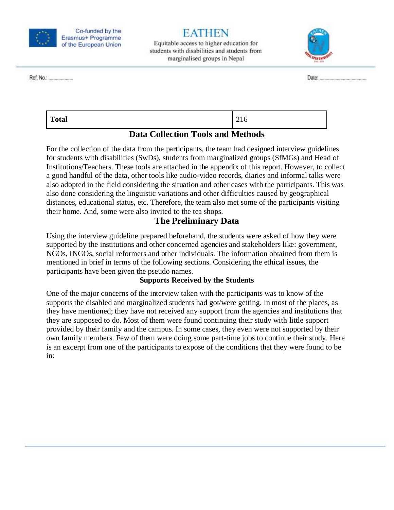

Ref. No.: ....................

Co-funded by the Erasmus+ Programme of the European Union

Equitable access to higher education for students with disabilities and students from marginalised groups in Nepal



**Total** 216

### **Data Collection Tools and Methods**

<span id="page-5-0"></span>For the collection of the data from the participants, the team had designed interview guidelines for students with disabilities (SwDs), students from marginalized groups (SfMGs) and Head of Institutions/Teachers. These tools are attached in the appendix of this report. However, to collect a good handful of the data, other tools like audio-video records, diaries and informal talks were also adopted in the field considering the situation and other cases with the participants. This was also done considering the linguistic variations and other difficulties caused by geographical distances, educational status, etc. Therefore, the team also met some of the participants visiting their home. And, some were also invited to the tea shops.

## **The Preliminary Data**

<span id="page-5-1"></span>Using the interview guideline prepared beforehand, the students were asked of how they were supported by the institutions and other concerned agencies and stakeholders like: government, NGOs, INGOs, social reformers and other individuals. The information obtained from them is mentioned in brief in terms of the following sections. Considering the ethical issues, the participants have been given the pseudo names.

#### **Supports Received by the Students**

<span id="page-5-2"></span>One of the major concerns of the interview taken with the participants was to know of the supports the disabled and marginalized students had got/were getting. In most of the places, as they have mentioned; they have not received any support from the agencies and institutions that they are supposed to do. Most of them were found continuing their study with little support provided by their family and the campus. In some cases, they even were not supported by their own family members. Few of them were doing some part-time jobs to continue their study. Here is an excerpt from one of the participants to expose of the conditions that they were found to be in: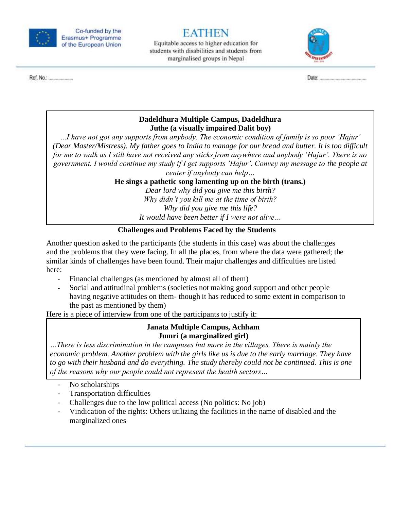

Equitable access to higher education for students with disabilities and students from marginalised groups in Nepal



#### **Dadeldhura Multiple Campus, Dadeldhura Juthe (a visually impaired Dalit boy)**

*…I have not got any supports from anybody. The economic condition of family is so poor 'Hajur' (Dear Master/Mistress). My father goes to India to manage for our bread and butter. It is too difficult for me to walk as I still have not received any sticks from anywhere and anybody 'Hajur'. There is no government. I would continue my study if I get supports 'Hajur'. Convey my message to the people at center if anybody can help…*

**He sings a pathetic song lamenting up on the birth (trans.)**

*Dear lord why did you give me this birth? Why didn't you kill me at the time of birth? Why did you give me this life? It would have been better if I were not alive…*

#### **Challenges and Problems Faced by the Students**

<span id="page-6-0"></span>Another question asked to the participants (the students in this case) was about the challenges and the problems that they were facing. In all the places, from where the data were gathered; the similar kinds of challenges have been found. Their major challenges and difficulties are listed here:

- Financial challenges (as mentioned by almost all of them)
- Social and attitudinal problems (societies not making good support and other people having negative attitudes on them- though it has reduced to some extent in comparison to the past as mentioned by them)

Here is a piece of interview from one of the participants to justify it:

#### **Janata Multiple Campus, Achham Jumri (a marginalized girl)**

*…There is less discrimination in the campuses but more in the villages. There is mainly the economic problem. Another problem with the girls like us is due to the early marriage. They have to go with their husband and do everything. The study thereby could not be continued. This is one of the reasons why our people could not represent the health sectors…*

- No scholarships
- Transportation difficulties
- Challenges due to the low political access (No politics: No job)
- Vindication of the rights: Others utilizing the facilities in the name of disabled and the marginalized ones

Ref. No.: .....................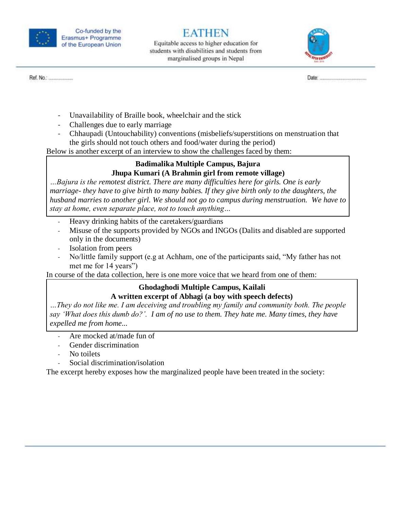

Ref. No.: .....................

Co-funded by the Erasmus+ Programme of the European Union

Equitable access to higher education for students with disabilities and students from marginalised groups in Nepal



- Unavailability of Braille book, wheelchair and the stick

- Challenges due to early marriage
- Chhaupadi (Untouchability) conventions (misbeliefs/superstitions on menstruation that the girls should not touch others and food/water during the period)

Below is another excerpt of an interview to show the challenges faced by them:

#### **Badimalika Multiple Campus, Bajura Jhupa Kumari (A Brahmin girl from remote village)**

*…Bajura is the remotest district. There are many difficulties here for girls. One is early marriage- they have to give birth to many babies. If they give birth only to the daughters, the husband marries to another girl. We should not go to campus during menstruation. We have to stay at home, even separate place, not to touch anything…*

- Heavy drinking habits of the caretakers/guardians
- Misuse of the supports provided by NGOs and INGOs (Dalits and disabled are supported only in the documents)
- Isolation from peers
- No/little family support (e.g at Achham, one of the participants said, "My father has not met me for 14 years")

In course of the data collection, here is one more voice that we heard from one of them:

#### **Ghodaghodi Multiple Campus, Kailali**

#### **A written excerpt of Abhagi (a boy with speech defects)**

*…They do not like me. I am deceiving and troubling my family and community both. The people say 'What does this dumb do?'. I am of no use to them. They hate me. Many times, they have expelled me from home...*

- Are mocked at/made fun of
- Gender discrimination
- No toilets
- Social discrimination/isolation

The excerpt hereby exposes how the marginalized people have been treated in the society: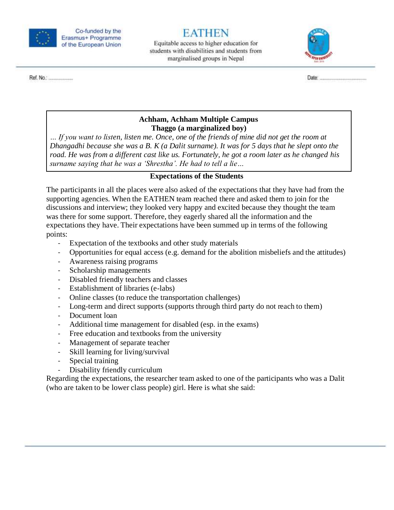

Ref. No.: .....................

Co-funded by the Erasmus+ Programme of the European Union

## FATHEN

Equitable access to higher education for students with disabilities and students from marginalised groups in Nepal



**Achham, Achham Multiple Campus Thaggo (a marginalized boy)**

*… If you want to listen, listen me. Once, one of the friends of mine did not get the room at Dhangadhi because she was a B. K (a Dalit surname). It was for 5 days that he slept onto the road. He was from a different cast like us. Fortunately, he got a room later as he changed his surname saying that he was a 'Shrestha'. He had to tell a lie…*

#### **Expectations of the Students**

<span id="page-8-0"></span>The participants in all the places were also asked of the expectations that they have had from the supporting agencies. When the EATHEN team reached there and asked them to join for the discussions and interview; they looked very happy and excited because they thought the team was there for some support. Therefore, they eagerly shared all the information and the expectations they have. Their expectations have been summed up in terms of the following points:

- Expectation of the textbooks and other study materials
- Opportunities for equal access (e.g. demand for the abolition misbeliefs and the attitudes)
- Awareness raising programs
- Scholarship managements
- Disabled friendly teachers and classes
- Establishment of libraries (e-labs)
- Online classes (to reduce the transportation challenges)
- Long-term and direct supports (supports through third party do not reach to them)
- Document loan
- Additional time management for disabled (esp. in the exams)
- Free education and textbooks from the university
- Management of separate teacher
- Skill learning for living/survival
- Special training
- Disability friendly curriculum

Regarding the expectations, the researcher team asked to one of the participants who was a Dalit (who are taken to be lower class people) girl. Here is what she said: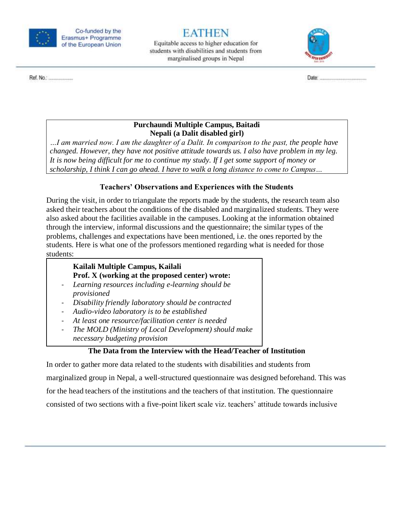

Equitable access to higher education for students with disabilities and students from marginalised groups in Nepal



Ref. No.: .....................

#### **Purchaundi Multiple Campus, Baitadi Nepali (a Dalit disabled girl)**

*…I am married now. I am the daughter of a Dalit. In comparison to the past, the people have changed. However, they have not positive attitude towards us. I also have problem in my leg. It is now being difficult for me to continue my study. If I get some support of money or scholarship, I think I can go ahead. I have to walk a long distance to come to Campus…*

### **Teachers' Observations and Experiences with the Students**

<span id="page-9-0"></span>During the visit, in order to triangulate the reports made by the students, the research team also asked their teachers about the conditions of the disabled and marginalized students. They were also asked about the facilities available in the campuses. Looking at the information obtained through the interview, informal discussions and the questionnaire; the similar types of the problems, challenges and expectations have been mentioned, i.e. the ones reported by the students. Here is what one of the professors mentioned regarding what is needed for those students:

#### **Kailali Multiple Campus, Kailali Prof. X (working at the proposed center) wrote:**

- *Learning resources including e-learning should be provisioned*
- *Disability friendly laboratory should be contracted*
- *Audio-video laboratory is to be established*
- *At least one resource/facilitation center is needed*
- *The MOLD (Ministry of Local Development) should make necessary budgeting provision*

### **The Data from the Interview with the Head/Teacher of Institution**

<span id="page-9-1"></span>In order to gather more data related to the students with disabilities and students from marginalized group in Nepal, a well-structured questionnaire was designed beforehand. This was for the head teachers of the institutions and the teachers of that institution. The questionnaire consisted of two sections with a five-point likert scale viz. teachers' attitude towards inclusive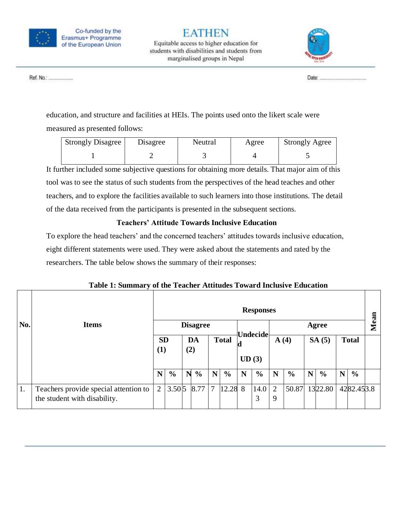

Equitable access to higher education for students with disabilities and students from marginalised groups in Nepal



Ref. No.: ........................

education, and structure and facilities at HEIs. The points used onto the likert scale were measured as presented follows:

| <b>Strongly Disagree</b> | Disagree | Neutral | Agree | <b>Strongly Agree</b> |
|--------------------------|----------|---------|-------|-----------------------|
|                          |          |         |       |                       |

It further included some subjective questions for obtaining more details. That major aim of this tool was to see the status of such students from the perspectives of the head teaches and other teachers, and to explore the facilities available to such learners into those institutions. The detail of the data received from the participants is presented in the subsequent sections.

### **Teachers' Attitude Towards Inclusive Education**

<span id="page-10-0"></span>To explore the head teachers' and the concerned teachers' attitudes towards inclusive education, eight different statements were used. They were asked about the statements and rated by the researchers. The table below shows the summary of their responses:

| No. | <b>Items</b>                                                          |                | <b>Responses</b><br><b>Disagree</b><br>Agree  |   |               |       |                 |      |               | $\overline{\mathbf{a}}$<br>نه |               |              |               |   |               |  |
|-----|-----------------------------------------------------------------------|----------------|-----------------------------------------------|---|---------------|-------|-----------------|------|---------------|-------------------------------|---------------|--------------|---------------|---|---------------|--|
|     |                                                                       |                | <b>Total</b><br><b>SD</b><br>DA<br>(2)<br>(1) |   |               | UD(3) | <b>Undecide</b> | A(4) |               | SA(5)                         |               | <b>Total</b> |               | Ž |               |  |
|     |                                                                       | $\mathbf N$    | $\frac{6}{9}$                                 | N | $\frac{0}{0}$ | N     | $\frac{6}{6}$   | N    | $\frac{6}{6}$ | N                             | $\frac{0}{0}$ | N            | $\frac{6}{6}$ | N | $\frac{6}{9}$ |  |
| 1.  | Teachers provide special attention to<br>the student with disability. | $\overline{2}$ | $3.50\,5$                                     |   | 8.77          | 7     | 12.28 8         |      | 14.0<br>3     | $\overline{2}$<br>9           | 50.87         |              | 1322.80       |   | 4282.453.8    |  |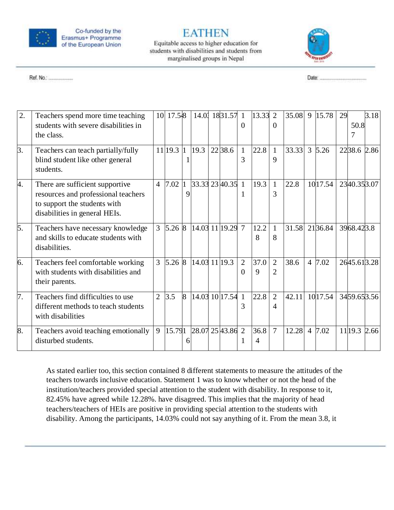

Ref. No.: ........................

Co-funded by the Erasmus+ Programme of the European Union

## **EATHEN**

Equitable access to higher education for students with disabilities and students from marginalised groups in Nepal



| 2. | Teachers spend more time teaching<br>students with severe disabilities in<br>the class.                                                 |                | 10 17.548          |                |               | 14.0 1831.57 1   | $\Omega$                   | 13.33     | 2<br>$\Omega$                    | 35.08 | 9              | 15.78       | 29 | 50.8         | 3.18 |
|----|-----------------------------------------------------------------------------------------------------------------------------------------|----------------|--------------------|----------------|---------------|------------------|----------------------------|-----------|----------------------------------|-------|----------------|-------------|----|--------------|------|
| 3. | Teachers can teach partially/fully<br>blind student like other general<br>students.                                                     |                | $11$  19.3  1      |                | 19.3          | 22 38.6          | $\mathbf{1}$<br>3          | 22.8      | $\mathbf{1}$<br>9                | 33.33 |                | $3 \, 5.26$ |    | 2238.6 2.86  |      |
| 4. | There are sufficient supportive<br>resources and professional teachers<br>to support the students with<br>disabilities in general HEIs. | $\overline{4}$ | 7.02               | 9              |               | 33.33 23 40.35 1 |                            | 19.3      | $\mathbf{1}$<br>3                | 22.8  |                | 10 17.54    |    | 2340.353.07  |      |
| 5. | Teachers have necessary knowledge<br>and skills to educate students with<br>disabilities.                                               | 3 <sup>1</sup> | 5.268              |                |               | 14.03 11 19.29 7 |                            | 12.2<br>8 | $\mathbf{1}$<br>8                | 31.58 |                | 2136.84     |    | 3968.423.8   |      |
| 6. | Teachers feel comfortable working<br>with students with disabilities and<br>their parents.                                              | 3              | $5.26 \, \text{8}$ |                | 14.03 11 19.3 |                  | $\overline{2}$<br>$\Omega$ | 37.0<br>9 | $\overline{2}$<br>$\overline{2}$ | 38.6  | $\overline{4}$ | 7.02        |    | 2645.613.28  |      |
| 7. | Teachers find difficulties to use<br>different methods to teach students<br>with disabilities                                           | $\overline{2}$ | 3.5                | $\overline{8}$ |               | 14.03 10 17.54 1 | 3                          | 22.8      | $\overline{2}$<br>4              | 42.11 |                | 1017.54     |    | 3459.653.56  |      |
| 8. | Teachers avoid teaching emotionally<br>disturbed students.                                                                              | 9              | 15.791             |                |               | 28.07 25 43.86 2 |                            | 36.8<br>4 | $\overline{7}$                   | 12.28 | $\overline{4}$ | 7.02        |    | 11 19.3 2.66 |      |

As stated earlier too, this section contained 8 different statements to measure the attitudes of the teachers towards inclusive education. Statement 1 was to know whether or not the head of the institution/teachers provided special attention to the student with disability. In response to it, 82.45% have agreed while 12.28%. have disagreed. This implies that the majority of head teachers/teachers of HEIs are positive in providing special attention to the students with disability. Among the participants, 14.03% could not say anything of it. From the mean 3.8, it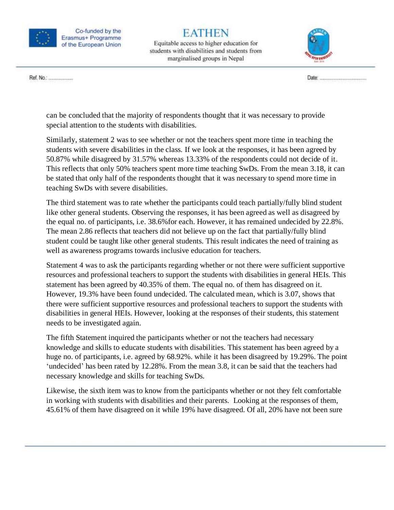

# EATHEN

Equitable access to higher education for students with disabilities and students from marginalised groups in Nepal



Ref. No.: .......................

can be concluded that the majority of respondents thought that it was necessary to provide special attention to the students with disabilities.

Similarly, statement 2 was to see whether or not the teachers spent more time in teaching the students with severe disabilities in the class. If we look at the responses, it has been agreed by 50.87% while disagreed by 31.57% whereas 13.33% of the respondents could not decide of it. This reflects that only 50% teachers spent more time teaching SwDs. From the mean 3.18, it can be stated that only half of the respondents thought that it was necessary to spend more time in teaching SwDs with severe disabilities.

The third statement was to rate whether the participants could teach partially/fully blind student like other general students. Observing the responses, it has been agreed as well as disagreed by the equal no. of participants, i.e. 38.6%for each. However, it has remained undecided by 22.8%. The mean 2.86 reflects that teachers did not believe up on the fact that partially/fully blind student could be taught like other general students. This result indicates the need of training as well as awareness programs towards inclusive education for teachers.

Statement 4 was to ask the participants regarding whether or not there were sufficient supportive resources and professional teachers to support the students with disabilities in general HEIs. This statement has been agreed by 40.35% of them. The equal no. of them has disagreed on it. However, 19.3% have been found undecided. The calculated mean, which is 3.07, shows that there were sufficient supportive resources and professional teachers to support the students with disabilities in general HEIs. However, looking at the responses of their students, this statement needs to be investigated again.

The fifth Statement inquired the participants whether or not the teachers had necessary knowledge and skills to educate students with disabilities. This statement has been agreed by a huge no. of participants, i.e. agreed by 68.92%. while it has been disagreed by 19.29%. The point 'undecided' has been rated by 12.28%. From the mean 3.8, it can be said that the teachers had necessary knowledge and skills for teaching SwDs.

Likewise, the sixth item was to know from the participants whether or not they felt comfortable in working with students with disabilities and their parents. Looking at the responses of them, 45.61% of them have disagreed on it while 19% have disagreed. Of all, 20% have not been sure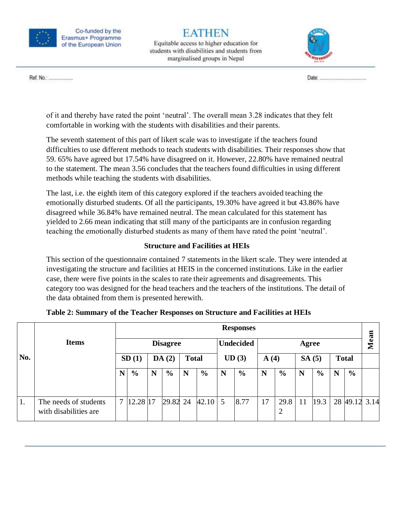

# EATHEN

Equitable access to higher education for students with disabilities and students from marginalised groups in Nepal



Ref. No.: .....................

of it and thereby have rated the point 'neutral'. The overall mean 3.28 indicates that they felt comfortable in working with the students with disabilities and their parents.

The seventh statement of this part of likert scale was to investigate if the teachers found difficulties to use different methods to teach students with disabilities. Their responses show that 59. 65% have agreed but 17.54% have disagreed on it. However, 22.80% have remained neutral to the statement. The mean 3.56 concludes that the teachers found difficulties in using different methods while teaching the students with disabilities.

The last, i.e. the eighth item of this category explored if the teachers avoided teaching the emotionally disturbed students. Of all the participants, 19.30% have agreed it but 43.86% have disagreed while 36.84% have remained neutral. The mean calculated for this statement has yielded to 2.66 mean indicating that still many of the participants are in confusion regarding teaching the emotionally disturbed students as many of them have rated the point 'neutral'.

### **Structure and Facilities at HEIs**

<span id="page-13-0"></span>This section of the questionnaire contained 7 statements in the likert scale. They were intended at investigating the structure and facilities at HEIS in the concerned institutions. Like in the earlier case, there were five points in the scales to rate their agreements and disagreements. This category too was designed for the head teachers and the teachers of the institutions. The detail of the data obtained from them is presented herewith.

|     |                                                | <b>Responses</b> |                 |   |                |              |                  |   |               |       |                        |       |                |              | an             |               |
|-----|------------------------------------------------|------------------|-----------------|---|----------------|--------------|------------------|---|---------------|-------|------------------------|-------|----------------|--------------|----------------|---------------|
|     | <b>Items</b>                                   |                  | <b>Disagree</b> |   |                |              | <b>Undecided</b> |   |               | Agree |                        |       |                |              | $\mathbf{M}$ e |               |
| No. |                                                |                  | SD(1)           |   | DA(2)          | <b>Total</b> |                  |   | UD(3)         | A(4)  |                        | SA(5) |                | <b>Total</b> |                |               |
|     |                                                | N                | $\frac{0}{0}$   | N | $\frac{6}{10}$ | N            | $\frac{6}{6}$    | N | $\frac{6}{6}$ | N     | $\frac{0}{0}$          | N     | $\frac{6}{10}$ | N            | $\frac{6}{6}$  |               |
| 1.  | The needs of students<br>with disabilities are |                  | 12.28 17        |   | 29.82 24       |              | 42.10            | 5 | 8.77          | 17    | 29.8<br>$\overline{2}$ | 11    | 19.3           |              |                | 28 49.12 3.14 |

| Table 2: Summary of the Teacher Responses on Structure and Facilities at HEIs |  |  |  |  |
|-------------------------------------------------------------------------------|--|--|--|--|
|-------------------------------------------------------------------------------|--|--|--|--|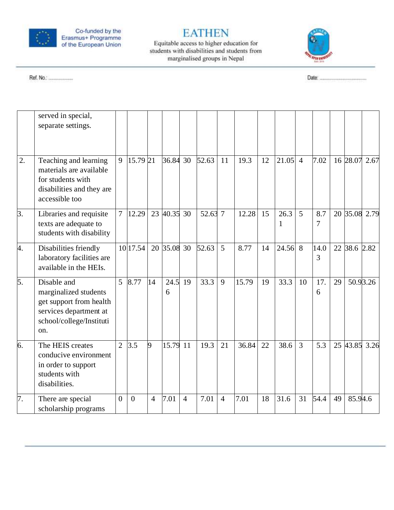

## **EATHEN**

Equitable access to higher education for<br>students with disabilities and students from marginalised groups in Nepal



Ref. No.: ....................

|                  | served in special,<br>separate settings.                                                                                     |                |          |                |             |                |         |                |       |    |           |                |           |    |              |               |
|------------------|------------------------------------------------------------------------------------------------------------------------------|----------------|----------|----------------|-------------|----------------|---------|----------------|-------|----|-----------|----------------|-----------|----|--------------|---------------|
| $\overline{2}$ . | Teaching and learning<br>materials are available<br>for students with<br>disabilities and they are<br>accessible too         | 9              | 15.79 21 |                | 36.84 30    |                | 52.63   | 11             | 19.3  | 12 | 21.05     | $\overline{4}$ | 7.02      |    | 16 28.07     | 2.67          |
| 3.               | Libraries and requisite<br>texts are adequate to<br>students with disability                                                 | $\overline{7}$ | 12.29    |                | 23 40.35 30 |                | 52.63 7 |                | 12.28 | 15 | 26.3<br>1 | 5              | 8.7<br>7  |    |              | 20 35.08 2.79 |
| 4.               | Disabilities friendly<br>laboratory facilities are<br>available in the HEIs.                                                 |                | 10 17.54 |                | 20 35.08 30 |                | 52.63   | $\overline{5}$ | 8.77  | 14 | $24.56$ 8 |                | 14.0<br>3 |    | 22 38.6 2.82 |               |
| 5.               | Disable and<br>marginalized students<br>get support from health<br>services department at<br>school/college/Instituti<br>on. | 5              | 8.77     | 14             | 24.5<br>6   | 19             | 33.3    | 9              | 15.79 | 19 | 33.3      | 10             | 17.<br>6  | 29 |              | 50.93.26      |
| 6.               | The HEIS creates<br>conducive environment<br>in order to support<br>students with<br>disabilities.                           | $\overline{2}$ | 3.5      | 9              | 15.79 11    |                | 19.3    | 21             | 36.84 | 22 | 38.6      | $\overline{3}$ | 5.3       |    |              | 25 43.85 3.26 |
| 7.               | There are special<br>scholarship programs                                                                                    | $\overline{0}$ | $\Omega$ | $\overline{4}$ | 7.01        | $\overline{4}$ | 7.01    | $\overline{4}$ | 7.01  | 18 | 31.6      | 31             | 54.4      | 49 | 85.94.6      |               |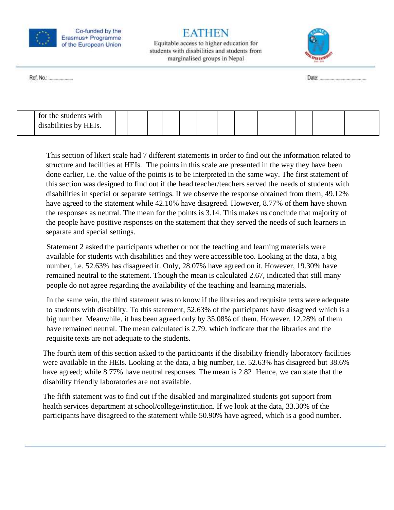

Equitable access to higher education for students with disabilities and students from marginalised groups in Nepal



Ref. No.: .....................

| for the students with |  |  |  |  |  |  |  |  |
|-----------------------|--|--|--|--|--|--|--|--|
| disabilities by HFIs  |  |  |  |  |  |  |  |  |
|                       |  |  |  |  |  |  |  |  |

This section of likert scale had 7 different statements in order to find out the information related to structure and facilities at HEIs. The points in this scale are presented in the way they have been done earlier, i.e. the value of the points is to be interpreted in the same way. The first statement of this section was designed to find out if the head teacher/teachers served the needs of students with disabilities in special or separate settings. If we observe the response obtained from them, 49.12% have agreed to the statement while 42.10% have disagreed. However, 8.77% of them have shown the responses as neutral. The mean for the points is 3.14. This makes us conclude that majority of the people have positive responses on the statement that they served the needs of such learners in separate and special settings.

Statement 2 asked the participants whether or not the teaching and learning materials were available for students with disabilities and they were accessible too. Looking at the data, a big number, i.e. 52.63% has disagreed it. Only, 28.07% have agreed on it. However, 19.30% have remained neutral to the statement. Though the mean is calculated 2.67, indicated that still many people do not agree regarding the availability of the teaching and learning materials.

In the same vein, the third statement was to know if the libraries and requisite texts were adequate to students with disability. To this statement, 52.63% of the participants have disagreed which is a big number. Meanwhile, it has been agreed only by 35.08% of them. However, 12.28% of them have remained neutral. The mean calculated is 2.79. which indicate that the libraries and the requisite texts are not adequate to the students.

The fourth item of this section asked to the participants if the disability friendly laboratory facilities were available in the HEIs. Looking at the data, a big number, i.e. 52.63% has disagreed but 38.6% have agreed; while 8.77% have neutral responses. The mean is 2.82. Hence, we can state that the disability friendly laboratories are not available.

The fifth statement was to find out if the disabled and marginalized students got support from health services department at school/college/institution. If we look at the data, 33.30% of the participants have disagreed to the statement while 50.90% have agreed, which is a good number.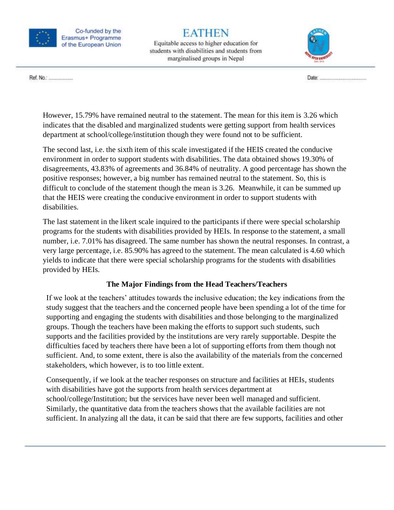

# EATHEN

Equitable access to higher education for students with disabilities and students from marginalised groups in Nepal



Ref. No.: .....................

However, 15.79% have remained neutral to the statement. The mean for this item is 3.26 which indicates that the disabled and marginalized students were getting support from health services department at school/college/institution though they were found not to be sufficient.

The second last, i.e. the sixth item of this scale investigated if the HEIS created the conducive environment in order to support students with disabilities. The data obtained shows 19.30% of disagreements, 43.83% of agreements and 36.84% of neutrality. A good percentage has shown the positive responses; however, a big number has remained neutral to the statement. So, this is difficult to conclude of the statement though the mean is 3.26. Meanwhile, it can be summed up that the HEIS were creating the conducive environment in order to support students with disabilities.

The last statement in the likert scale inquired to the participants if there were special scholarship programs for the students with disabilities provided by HEIs. In response to the statement, a small number, i.e. 7.01% has disagreed. The same number has shown the neutral responses. In contrast, a very large percentage, i.e. 85.90% has agreed to the statement. The mean calculated is 4.60 which yields to indicate that there were special scholarship programs for the students with disabilities provided by HEIs.

#### **The Major Findings from the Head Teachers/Teachers**

<span id="page-16-0"></span>If we look at the teachers' attitudes towards the inclusive education; the key indications from the study suggest that the teachers and the concerned people have been spending a lot of the time for supporting and engaging the students with disabilities and those belonging to the marginalized groups. Though the teachers have been making the efforts to support such students, such supports and the facilities provided by the institutions are very rarely supportable. Despite the difficulties faced by teachers there have been a lot of supporting efforts from them though not sufficient. And, to some extent, there is also the availability of the materials from the concerned stakeholders, which however, is to too little extent.

Consequently, if we look at the teacher responses on structure and facilities at HEIs, students with disabilities have got the supports from health services department at school/college/Institution; but the services have never been well managed and sufficient. Similarly, the quantitative data from the teachers shows that the available facilities are not sufficient. In analyzing all the data, it can be said that there are few supports, facilities and other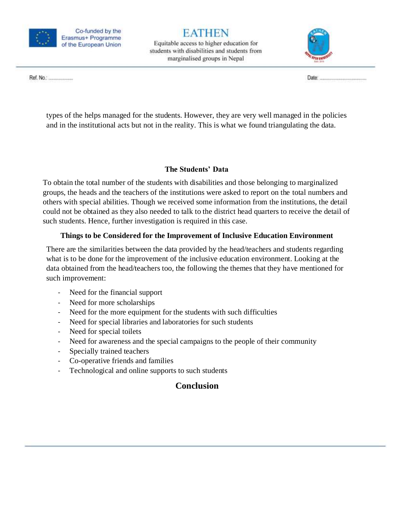

Equitable access to higher education for students with disabilities and students from marginalised groups in Nepal



Ref. No.: .....................

types of the helps managed for the students. However, they are very well managed in the policies and in the institutional acts but not in the reality. This is what we found triangulating the data.

#### **The Students' Data**

<span id="page-17-0"></span>To obtain the total number of the students with disabilities and those belonging to marginalized groups, the heads and the teachers of the institutions were asked to report on the total numbers and others with special abilities. Though we received some information from the institutions, the detail could not be obtained as they also needed to talk to the district head quarters to receive the detail of such students. Hence, further investigation is required in this case.

### **Things to be Considered for the Improvement of Inclusive Education Environment**

<span id="page-17-1"></span>There are the similarities between the data provided by the head/teachers and students regarding what is to be done for the improvement of the inclusive education environment. Looking at the data obtained from the head/teachers too, the following the themes that they have mentioned for such improvement:

- Need for the financial support
- Need for more scholarships
- Need for the more equipment for the students with such difficulties
- Need for special libraries and laboratories for such students
- Need for special toilets
- Need for awareness and the special campaigns to the people of their community
- Specially trained teachers
- Co-operative friends and families
- <span id="page-17-2"></span>- Technological and online supports to such students

## **Conclusion**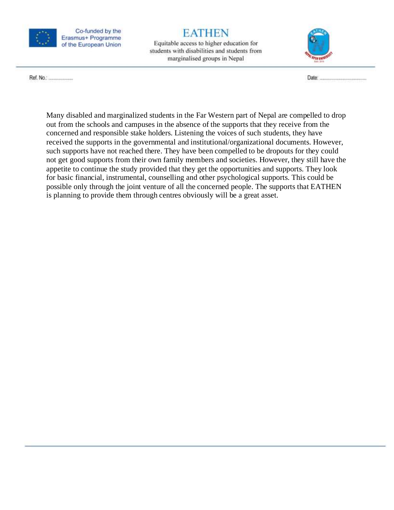

# **EATHEN**

Equitable access to higher education for students with disabilities and students from marginalised groups in Nepal



Ref. No.: .......................

Many disabled and marginalized students in the Far Western part of Nepal are compelled to drop out from the schools and campuses in the absence of the supports that they receive from the concerned and responsible stake holders. Listening the voices of such students, they have received the supports in the governmental and institutional/organizational documents. However, such supports have not reached there. They have been compelled to be dropouts for they could not get good supports from their own family members and societies. However, they still have the appetite to continue the study provided that they get the opportunities and supports. They look for basic financial, instrumental, counselling and other psychological supports. This could be possible only through the joint venture of all the concerned people. The supports that EATHEN is planning to provide them through centres obviously will be a great asset.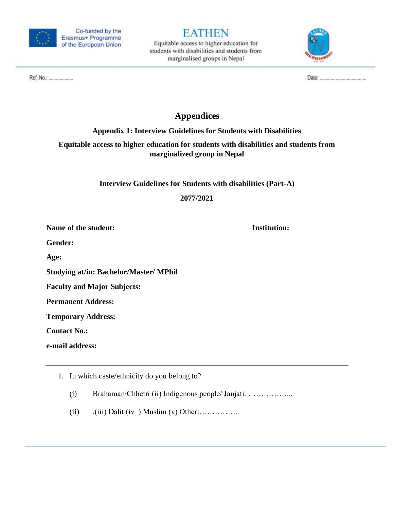

Equitable access to higher education for students with disabilities and students from marginalised groups in Nepal



Ref. No.: .......................

## **Appendices**

### **Appendix 1: Interview Guidelines for Students with Disabilities**

### <span id="page-19-1"></span><span id="page-19-0"></span>**Equitable access to higher education for students with disabilities and students from marginalized group in Nepal**

**Interview Guidelines for Students with disabilities (Part-A)**

**2077/2021**

**Name of the student: Institution:**

**Gender:**

**Age:** 

**Studying at/in: Bachelor/Master/ MPhil** 

**Faculty and Major Subjects:** 

**Permanent Address:**

**Temporary Address:**

**Contact No.:**

**e-mail address:**

- 1. In which caste/ethnicity do you belong to?
	- (i) Brahaman/Chhetri (ii) Indigenous people/ Janjati: ……………...
	- (ii) .(iii) Dalit (iv ) Muslim (v) Other:…………….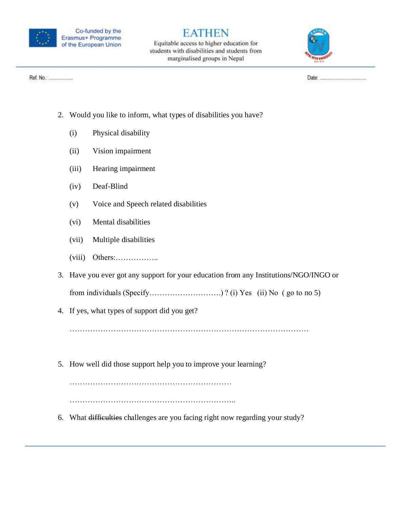

Equitable access to higher education for students with disabilities and students from marginalised groups in Nepal



Ref. No.: .......................

- 2. Would you like to inform, what types of disabilities you have?
	- (i) Physical disability
	- (ii) Vision impairment
	- (iii) Hearing impairment
	- (iv) Deaf-Blind
	- (v) Voice and Speech related disabilities
	- (vi) Mental disabilities
	- (vii) Multiple disabilities
	- (viii) Others:……………..
- 3. Have you ever got any support for your education from any Institutions/NGO/INGO or

from individuals (Specify……………………….) ? (i) Yes (ii) No ( go to no 5)

4. If yes, what types of support did you get?

…………………………………………………………………………………

5. How well did those support help you to improve your learning?

……………………………………………………… ………………………………………………………..

6. What difficulties challenges are you facing right now regarding your study?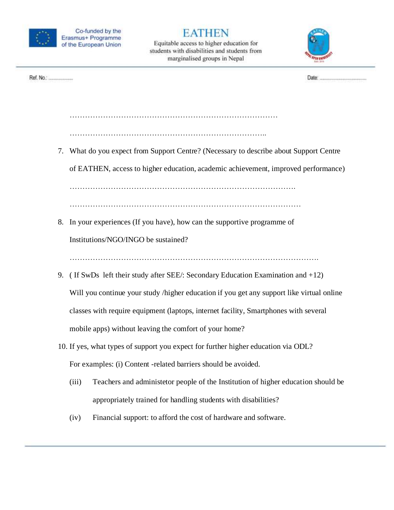

Equitable access to higher education for students with disabilities and students from marginalised groups in Nepal



Ref. No.: .....................

…………………………………………………………………..

………………………………………………………………………

7. What do you expect from Support Centre? (Necessary to describe about Support Centre

of EATHEN, access to higher education, academic achievement, improved performance)

…………………………………………………………………………….

………………………………………………………………………………

8. In your experiences (If you have), how can the supportive programme of

Institutions/NGO/INGO be sustained?

…………………………………………………………………………………….

- 9. ( If SwDs left their study after SEE/: Secondary Education Examination and +12) Will you continue your study /higher education if you get any support like virtual online classes with require equipment (laptops, internet facility, Smartphones with several mobile apps) without leaving the comfort of your home?
- 10. If yes, what types of support you expect for further higher education via ODL? For examples: (i) Content -related barriers should be avoided.
	- (iii) Teachers and administetor people of the Institution of higher education should be appropriately trained for handling students with disabilities?
	- (iv) Financial support: to afford the cost of hardware and software.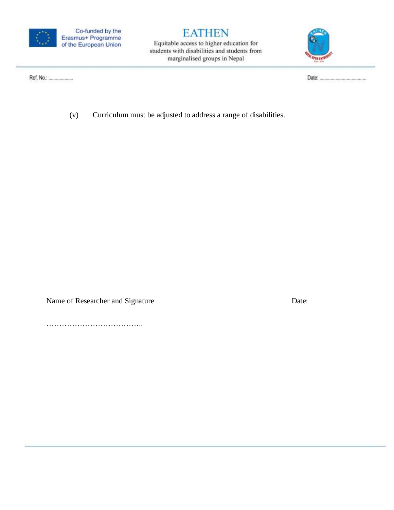

Equitable access to higher education for students with disabilities and students from marginalised groups in Nepal



Ref. No.: .....................

(v) Curriculum must be adjusted to address a range of disabilities.

Name of Researcher and Signature Date:

………………………………..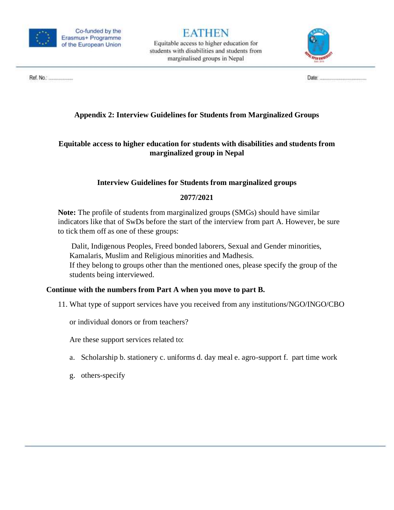

Equitable access to higher education for students with disabilities and students from marginalised groups in Nepal



#### <span id="page-23-0"></span>**Appendix 2: Interview Guidelines for Students from Marginalized Groups**

#### **Equitable access to higher education for students with disabilities and students from marginalized group in Nepal**

#### **Interview Guidelines for Students from marginalized groups**

#### **2077/2021**

**Note:** The profile of students from marginalized groups (SMGs) should have similar indicators like that of SwDs before the start of the interview from part A. However, be sure to tick them off as one of these groups:

Dalit, Indigenous Peoples, Freed bonded laborers, Sexual and Gender minorities, Kamalaris, Muslim and Religious minorities and Madhesis.

If they belong to groups other than the mentioned ones, please specify the group of the students being interviewed.

#### **Continue with the numbers from Part A when you move to part B.**

11. What type of support services have you received from any institutions/NGO/INGO/CBO

or individual donors or from teachers?

Are these support services related to:

- a. Scholarship b. stationery c. uniforms d. day meal e. agro-support f. part time work
- g. others-specify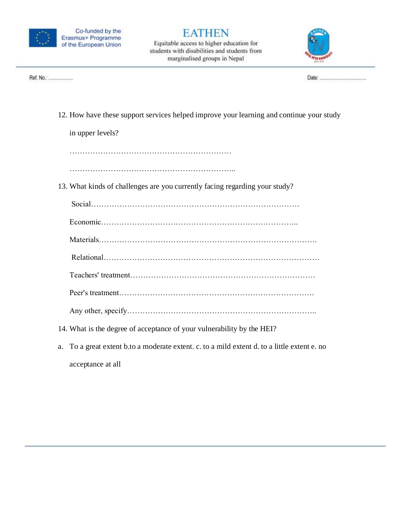

Equitable access to higher education for students with disabilities and students from marginalised groups in Nepal



Ref. No.: .......................

12. How have these support services helped improve your learning and continue your study

in upper levels?

………………………………………………………

………………………………………………………..

13. What kinds of challenges are you currently facing regarding your study?

Social………………………………………………………………………

|--|

Materials………………………………………………………………………….

Relational…………………………………………………………………………

Teachers' treatment………………………………………………………………

Peer's treatment………………………………………………………………….

- Any other, specify………………………………………………………………..
- 14. What is the degree of acceptance of your vulnerability by the HEI?
- a. To a great extent b.to a moderate extent. c. to a mild extent d. to a little extent e. no acceptance at all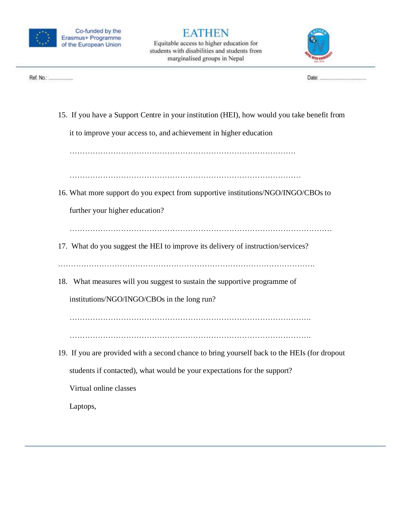

Equitable access to higher education for students with disabilities and students from marginalised groups in Nepal



15. If you have a Support Centre in your institution (HEI), how would you take benefit from

it to improve your access to, and achievement in higher education

…………………………………………………………………………….

………………………………………………………………………………

16. What more support do you expect from supportive institutions/NGO/INGO/CBOs to

further your higher education?

…………………………………………………………………………………………

17. What do you suggest the HEI to improve its delivery of instruction/services?

……………………………………………………………………………………….

18. What measures will you suggest to sustain the supportive programme of

institutions/NGO/INGO/CBOs in the long run?

………………………………………………………………………………….

………………………………………………………………………………….

19. If you are provided with a second chance to bring yourself back to the HEIs (for dropout students if contacted), what would be your expectations for the support?

Virtual online classes

Laptops,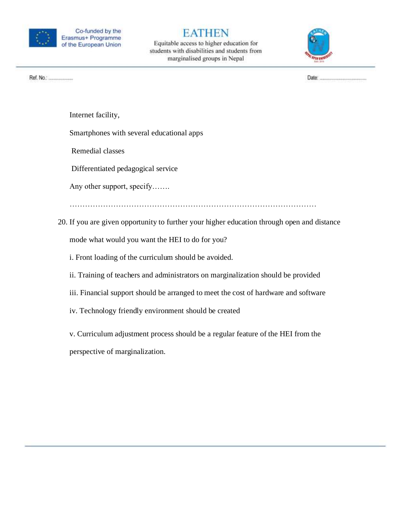

Equitable access to higher education for students with disabilities and students from marginalised groups in Nepal



Internet facility,

Smartphones with several educational apps

Remedial classes

Differentiated pedagogical service

Any other support, specify…….

……………………………………………………………………………………

20. If you are given opportunity to further your higher education through open and distance mode what would you want the HEI to do for you?

i. Front loading of the curriculum should be avoided.

ii. Training of teachers and administrators on marginalization should be provided

iii. Financial support should be arranged to meet the cost of hardware and software

iv. Technology friendly environment should be created

v. Curriculum adjustment process should be a regular feature of the HEI from the

perspective of marginalization.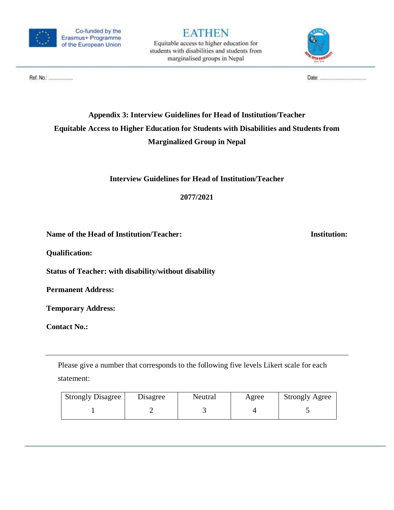

Equitable access to higher education for students with disabilities and students from marginalised groups in Nepal



#### 

## <span id="page-27-0"></span>**Appendix 3: Interview Guidelines for Head of Institution/Teacher Equitable Access to Higher Education for Students with Disabilities and Students from Marginalized Group in Nepal**

**Interview Guidelines for Head of Institution/Teacher**

**2077/2021**

Name of the Head of Institution/Teacher: Institution: Institution:

**Qualification:** 

**Status of Teacher: with disability/without disability**

**Permanent Address:**

**Temporary Address:**

**Contact No.:**

Please give a number that corresponds to the following five levels Likert scale for each statement:

| <b>Strongly Disagree</b> | Disagree | Neutral | Agree | <b>Strongly Agree</b> |
|--------------------------|----------|---------|-------|-----------------------|
|                          |          |         |       |                       |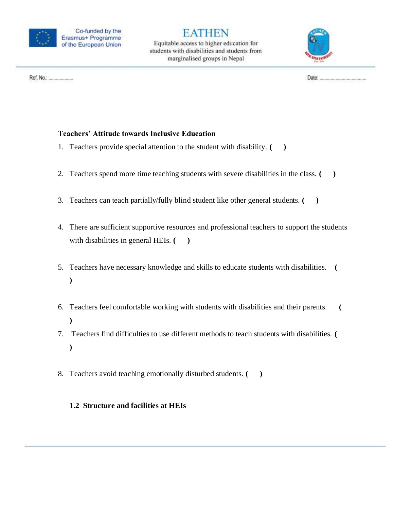

Equitable access to higher education for students with disabilities and students from marginalised groups in Nepal



Ref. No.: .......................

#### **Teachers' Attitude towards Inclusive Education**

- 1. Teachers provide special attention to the student with disability. **( )**
- 2. Teachers spend more time teaching students with severe disabilities in the class. **( )**
- 3. Teachers can teach partially/fully blind student like other general students. **( )**
- 4. There are sufficient supportive resources and professional teachers to support the students with disabilities in general HEIs.  $($
- 5. Teachers have necessary knowledge and skills to educate students with disabilities. **( )**
- 6. Teachers feel comfortable working with students with disabilities and their parents. **( )**
- 7. Teachers find difficulties to use different methods to teach students with disabilities. **( )**
- 8. Teachers avoid teaching emotionally disturbed students. **( )**

#### **1.2 Structure and facilities at HEIs**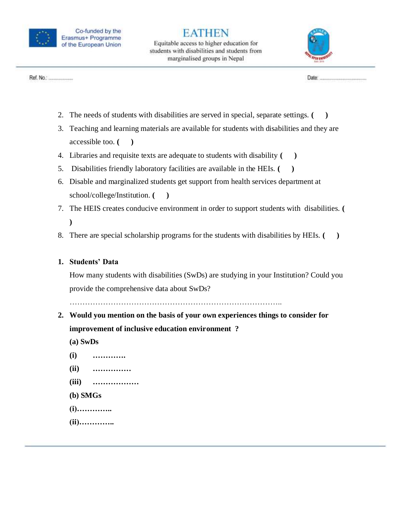

Equitable access to higher education for students with disabilities and students from marginalised groups in Nepal



Ref. No.: .......................

- 2. The needs of students with disabilities are served in special, separate settings. **( )**
- 3. Teaching and learning materials are available for students with disabilities and they are accessible too. **( )**
- 4. Libraries and requisite texts are adequate to students with disability **( )**
- 5. Disabilities friendly laboratory facilities are available in the HEIs. **( )**
- 6. Disable and marginalized students get support from health services department at school/college/Institution. **( )**
- 7. The HEIS creates conducive environment in order to support students with disabilities. **( )**
- 8. There are special scholarship programs for the students with disabilities by HEIs. **( )**

#### **1. Students' Data**

How many students with disabilities (SwDs) are studying in your Institution? Could you provide the comprehensive data about SwDs?

………………………………………………………………………..

- **2. Would you mention on the basis of your own experiences things to consider for improvement of inclusive education environment ?**
	- **(a) SwDs**
	- **(i) ………….**
	- **(ii) ……………**
	- **(iii) ………………**
	- **(b) SMGs**
	- **(i)…………..**
	- **(ii)…………..**